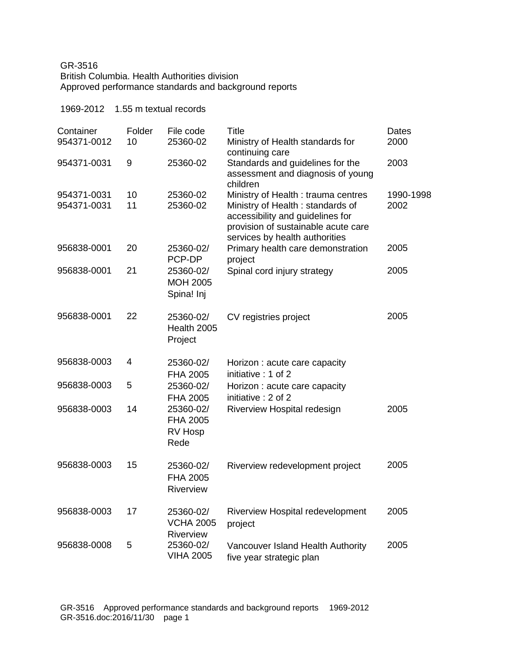## GR-3516 British Columbia. Health Authorities division Approved performance standards and background reports

| 1969-2012                |              | 1.55 m textual records                     |                                                                                                                                               |               |
|--------------------------|--------------|--------------------------------------------|-----------------------------------------------------------------------------------------------------------------------------------------------|---------------|
| Container<br>954371-0012 | Folder<br>10 | File code<br>25360-02                      | <b>Title</b><br>Ministry of Health standards for                                                                                              | Dates<br>2000 |
| 954371-0031              | 9            | 25360-02                                   | continuing care<br>Standards and guidelines for the<br>assessment and diagnosis of young<br>children                                          | 2003          |
| 954371-0031              | 10           | 25360-02                                   | Ministry of Health: trauma centres                                                                                                            | 1990-1998     |
| 954371-0031              | 11           | 25360-02                                   | Ministry of Health: standards of<br>accessibility and guidelines for<br>provision of sustainable acute care<br>services by health authorities | 2002          |
| 956838-0001              | 20           | 25360-02/<br>PCP-DP                        | Primary health care demonstration<br>project                                                                                                  | 2005          |
| 956838-0001              | 21           | 25360-02/<br><b>MOH 2005</b><br>Spina! Inj | Spinal cord injury strategy                                                                                                                   | 2005          |
| 956838-0001              | 22           | 25360-02/<br>Health 2005<br>Project        | CV registries project                                                                                                                         | 2005          |
| 956838-0003              | 4            | 25360-02/<br>FHA 2005                      | Horizon: acute care capacity<br>initiative: 1 of 2                                                                                            |               |
| 956838-0003              | 5            | 25360-02/<br><b>FHA 2005</b>               | Horizon: acute care capacity<br>initiative: 2 of 2                                                                                            |               |
| 956838-0003              | 14           | 25360-02/<br>FHA 2005<br>RV Hosp<br>Rede   | Riverview Hospital redesign                                                                                                                   | 2005          |
| 956838-0003              | 15           | 25360-02/<br>FHA 2005<br>Riverview         | Riverview redevelopment project                                                                                                               | 2005          |
| 956838-0003              | 17           | 25360-02/<br><b>VCHA 2005</b><br>Riverview | Riverview Hospital redevelopment<br>project                                                                                                   | 2005          |
| 956838-0008              | 5            | 25360-02/<br><b>VIHA 2005</b>              | Vancouver Island Health Authority<br>five year strategic plan                                                                                 | 2005          |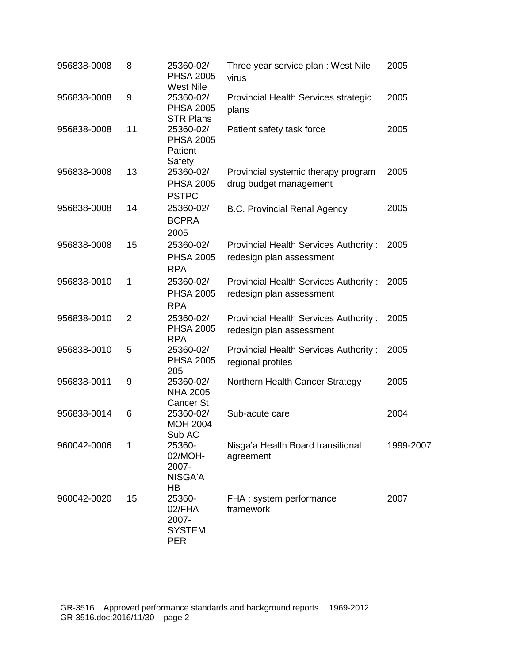| 956838-0008 | 8              | 25360-02/<br><b>PHSA 2005</b>                                         | Three year service plan: West Nile<br>virus                              | 2005      |
|-------------|----------------|-----------------------------------------------------------------------|--------------------------------------------------------------------------|-----------|
| 956838-0008 | $9\,$          | <b>West Nile</b><br>25360-02/<br><b>PHSA 2005</b><br><b>STR Plans</b> | Provincial Health Services strategic<br>plans                            | 2005      |
| 956838-0008 | 11             | 25360-02/<br><b>PHSA 2005</b><br>Patient<br>Safety                    | Patient safety task force                                                | 2005      |
| 956838-0008 | 13             | 25360-02/<br><b>PHSA 2005</b><br><b>PSTPC</b>                         | Provincial systemic therapy program<br>drug budget management            | 2005      |
| 956838-0008 | 14             | 25360-02/<br><b>BCPRA</b><br>2005                                     | <b>B.C. Provincial Renal Agency</b>                                      | 2005      |
| 956838-0008 | 15             | 25360-02/<br><b>PHSA 2005</b><br><b>RPA</b>                           | Provincial Health Services Authority:<br>redesign plan assessment        | 2005      |
| 956838-0010 | 1              | 25360-02/<br><b>PHSA 2005</b><br><b>RPA</b>                           | <b>Provincial Health Services Authority:</b><br>redesign plan assessment | 2005      |
| 956838-0010 | $\overline{2}$ | 25360-02/<br><b>PHSA 2005</b><br><b>RPA</b>                           | Provincial Health Services Authority:<br>redesign plan assessment        | 2005      |
| 956838-0010 | 5              | 25360-02/<br><b>PHSA 2005</b><br>205                                  | <b>Provincial Health Services Authority:</b><br>regional profiles        | 2005      |
| 956838-0011 | 9              | 25360-02/<br><b>NHA 2005</b><br>Cancer St                             | Northern Health Cancer Strategy                                          | 2005      |
| 956838-0014 | 6              | 25360-02/<br><b>MOH 2004</b><br>Sub AC                                | Sub-acute care                                                           | 2004      |
| 960042-0006 | 1              | 25360-<br>02/MOH-<br>2007-<br>NISGA'A<br>HB                           | Nisga'a Health Board transitional<br>agreement                           | 1999-2007 |
| 960042-0020 | 15             | 25360-<br>02/FHA<br>2007-<br><b>SYSTEM</b><br><b>PER</b>              | FHA: system performance<br>framework                                     | 2007      |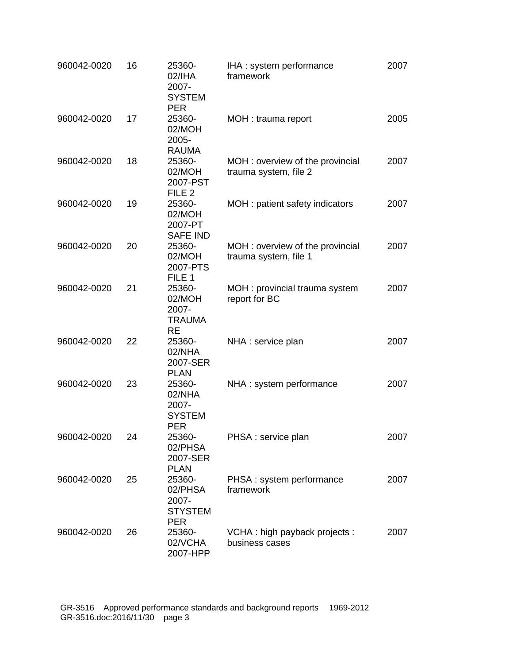| 960042-0020 | 16 | 25360-<br>02/IHA<br>2007-<br><b>SYSTEM</b><br><b>PER</b>   | IHA: system performance<br>framework                     | 2007 |
|-------------|----|------------------------------------------------------------|----------------------------------------------------------|------|
| 960042-0020 | 17 | 25360-<br>02/MOH<br>2005-<br><b>RAUMA</b>                  | MOH : trauma report                                      | 2005 |
| 960042-0020 | 18 | 25360-<br>02/MOH<br>2007-PST<br>FILE <sub>2</sub>          | MOH: overview of the provincial<br>trauma system, file 2 | 2007 |
| 960042-0020 | 19 | 25360-<br>02/MOH<br>2007-PT<br><b>SAFE IND</b>             | MOH: patient safety indicators                           | 2007 |
| 960042-0020 | 20 | 25360-<br>02/MOH<br>2007-PTS<br>FILE 1                     | MOH: overview of the provincial<br>trauma system, file 1 | 2007 |
| 960042-0020 | 21 | 25360-<br>02/MOH<br>2007-<br><b>TRAUMA</b><br><b>RE</b>    | MOH: provincial trauma system<br>report for BC           | 2007 |
| 960042-0020 | 22 | 25360-<br>02/NHA<br>2007-SER<br><b>PLAN</b>                | NHA : service plan                                       | 2007 |
| 960042-0020 | 23 | 25360-<br>02/NHA<br>2007-<br><b>SYSTEM</b><br><b>PER</b>   | NHA : system performance                                 | 2007 |
| 960042-0020 | 24 | 25360-<br>02/PHSA<br>2007-SER<br><b>PLAN</b>               | PHSA : service plan                                      | 2007 |
| 960042-0020 | 25 | 25360-<br>02/PHSA<br>2007-<br><b>STYSTEM</b><br><b>PER</b> | PHSA: system performance<br>framework                    | 2007 |
| 960042-0020 | 26 | 25360-<br>02/VCHA<br>2007-HPP                              | VCHA: high payback projects:<br>business cases           | 2007 |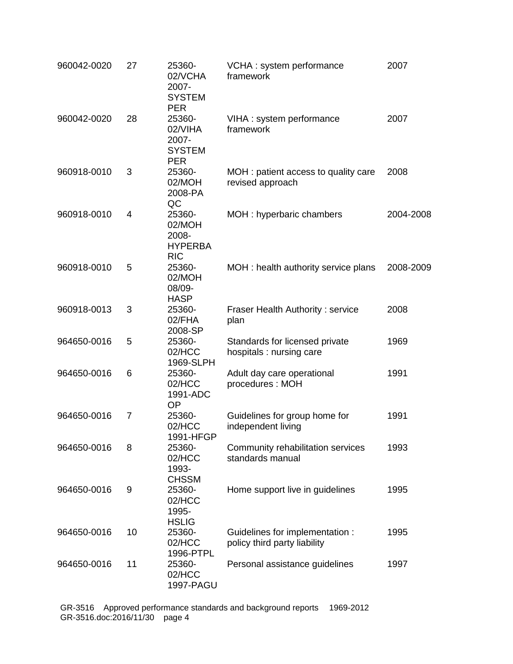| 960042-0020 | 27             | 25360-<br>02/VCHA<br>2007-<br><b>SYSTEM</b><br><b>PER</b> | VCHA: system performance<br>framework                           | 2007      |
|-------------|----------------|-----------------------------------------------------------|-----------------------------------------------------------------|-----------|
| 960042-0020 | 28             | 25360-<br>02/VIHA<br>2007-<br><b>SYSTEM</b><br><b>PER</b> | VIHA : system performance<br>framework                          | 2007      |
| 960918-0010 | 3              | 25360-<br>02/MOH<br>2008-PA<br>QC                         | MOH: patient access to quality care<br>revised approach         | 2008      |
| 960918-0010 | $\overline{4}$ | 25360-<br>02/MOH<br>2008-<br><b>HYPERBA</b><br><b>RIC</b> | MOH: hyperbaric chambers                                        | 2004-2008 |
| 960918-0010 | 5              | 25360-<br>02/MOH<br>08/09-<br><b>HASP</b>                 | MOH: health authority service plans                             | 2008-2009 |
| 960918-0013 | 3              | 25360-<br>02/FHA<br>2008-SP                               | Fraser Health Authority: service<br>plan                        | 2008      |
| 964650-0016 | 5              | 25360-<br>02/HCC<br>1969-SLPH                             | Standards for licensed private<br>hospitals: nursing care       | 1969      |
| 964650-0016 | 6              | 25360-<br>02/HCC<br>1991-ADC<br><b>OP</b>                 | Adult day care operational<br>procedures: MOH                   | 1991      |
| 964650-0016 | 7              | 25360-<br>02/HCC<br>1991-HFGP                             | Guidelines for group home for<br>independent living             | 1991      |
| 964650-0016 | 8              | 25360-<br>02/HCC<br>1993-<br><b>CHSSM</b>                 | Community rehabilitation services<br>standards manual           | 1993      |
| 964650-0016 | 9              | 25360-<br>02/HCC<br>1995-<br><b>HSLIG</b>                 | Home support live in guidelines                                 | 1995      |
| 964650-0016 | 10             | 25360-<br>02/HCC<br>1996-PTPL                             | Guidelines for implementation :<br>policy third party liability | 1995      |
| 964650-0016 | 11             | 25360-<br>02/HCC<br>1997-PAGU                             | Personal assistance guidelines                                  | 1997      |